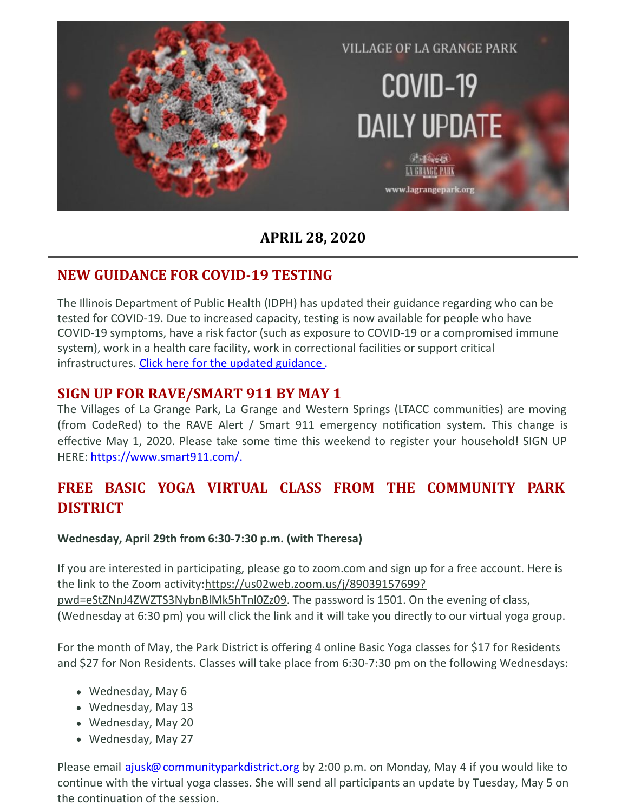

#### **APRIL 28, 2020**

## **NEW GUIDANCE FOR COVID-19 TESTING**

The Illinois Department of Public Health (IDPH) has updated their guidance regarding who can be tested for COVID-19. Due to increased capacity, testing is now available for people who have COVID-19 symptoms, have a risk factor (such as exposure to COVID-19 or a compromised immune system), work in a health care facility, work in correctional facilities or support critical infrastructures. Click here for the updated [guidance](https://www.iml.org/file.cfm?key=18794).

#### **SIGN UP FOR RAVE/SMART 911 BY MAY 1**

The Villages of La Grange Park, La Grange and Western Springs (LTACC communities) are moving (from CodeRed) to the RAVE Alert / Smart 911 emergency notification system. This change is effective May 1, 2020. Please take some time this weekend to register your household! SIGN UP HERE: <https://www.smart911.com/>.

# **FREE BASIC YOGA VIRTUAL CLASS FROM THE COMMUNITY PARK DISTRICT**

#### **Wednesday, April 29th from 6:30-7:30 p.m. (with Theresa)**

If you are interested in participating, please go to zoom.com and sign up for a free account. Here is the link to the Zoom [activity:https://us02web.zoom.us/j/89039157699?](https://us02web.zoom.us/j/89039157699?pwd=eStZNnJ4ZWZTS3NybnBlMk5hTnl0Zz09) pwd=eStZNnJ4ZWZTS3NybnBlMk5hTnl0Zz09. The password is 1501. On the evening of class, (Wednesday at 6:30 pm) you will click the link and it will take you directly to our virtual yoga group.

For the month of May, the Park District is offering 4 online Basic Yoga classes for \$17 for Residents and \$27 for Non Residents. Classes will take place from 6:30-7:30 pm on the following Wednesdays:

- Wednesday, May 6
- Wednesday, May 13
- Wednesday, May 20
- Wednesday, May 27

Please email [ajusk@communityparkdistrict.org](mailto:ajusk@communityparkdistrict.org) by 2:00 p.m. on Monday, May 4 if you would like to continue with the virtual yoga classes. She will send all participants an update by Tuesday, May 5 on the continuation of the session.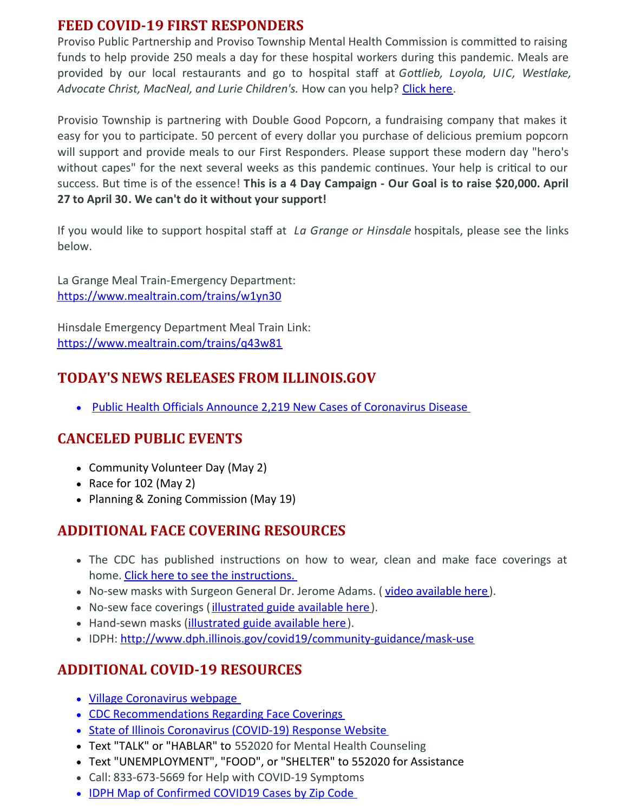#### **FEED COVID-19 FIRST RESPONDERS**

Proviso Public Partnership and Proviso Township Mental Health Commission is committed to raising funds to help provide 250 meals a day for these hospital workers during this pandemic. Meals are provided by our local restaurants and go to hospital staff at *Golieb, Loyola, UIC, Westlake, Advocate Christ, MacNeal, and Lurie Children's.* How can you help? [Click](https://popup.doublegood.com/s/mike-corrigan) here.

Provisio Township is partnering with Double Good Popcorn, a fundraising company that makes it easy for you to participate. 50 percent of every dollar you purchase of delicious premium popcorn will support and provide meals to our First Responders. Please support these modern day "hero's without capes" for the next several weeks as this pandemic continues. Your help is critical to our success. But -me is of the essence! **This is a 4 Day Campaign - Our Goal is to raise \$20,000. April 27 to April 30. We can't do it without your support!**

If you would like to support hospital staff at *La Grange or Hinsdale* hospitals, please see the links below.

La Grange Meal Train-Emergency Department: [https://www.mealtrain.com/trains/w1yn30](https://nam03.safelinks.protection.outlook.com/?url=https%3A%2F%2Fwww.mealtrain.com%2Ftrains%2Fw1yn30&data=02%7C01%7CCheryl.Trantham%40amitahealth.org%7C6ffc106298fe4acc4b5a08d7dc079a04%7Cf81dc21ac1e5436c8b05d5f08b5a92bd%7C0%7C0%7C637219797521536705&sdata=29Ba8DwHuACs03aS4S0Wv8rFo%2BygFnLGzoyhm0KhmI8%3D&reserved=0)

Hinsdale Emergency Department Meal Train Link: [https://www.mealtrain.com/trains/q43w81](https://nam03.safelinks.protection.outlook.com/?url=https%3A%2F%2Fwww.mealtrain.com%2Ftrains%2Fq43w81&data=02%7C01%7CCheryl.Trantham%40amitahealth.org%7C6ffc106298fe4acc4b5a08d7dc079a04%7Cf81dc21ac1e5436c8b05d5f08b5a92bd%7C0%7C0%7C637219797521546665&sdata=CwxqCj0XUgScb4p%2BQNbXjlr0LmDfGfOzEnFEHI%2BpU2M%3D&reserved=0)

## **TODAY'S NEWS RELEASES FROM ILLINOIS.GOV**

• Public Health Officials Announce 2,219 New Cases of [Coronavirus](https://www2.illinois.gov/Pages/news-item.aspx?ReleaseID=21468) Disease

## **CANCELED PUBLIC EVENTS**

- Community Volunteer Day (May 2)
- Race for  $102$  (May 2)
- Planning & Zoning Commission (May 19)

## **ADDITIONAL FACE COVERING RESOURCES**

- The CDC has published instructions on how to wear, clean and make face coverings at home. Click here to see the [instructions.](https://www.cdc.gov/coronavirus/2019-ncov/downloads/DIY-cloth-face-covering-instructions.pdf)
- No-sew masks with Surgeon General Dr. Jerome Adams. (video [available](https://www.youtube.com/watch?v=tPx1yqvJgf4) here).
- No-sew face coverings ([illustrated](https://www.cnn.com/2020/04/04/health/how-to-make-your-own-mask-wellness-trnd/index.html) guide available here).
- Hand-sewn masks [\(illustrated](https://www.usatoday.com/in-depth/news/2020/04/04/coronavirus-face-mask-tips-how-make-fabric-instructions/2945209001/) guide available here).
- IDPH: <http://www.dph.illinois.gov/covid19/community-guidance/mask-use>

## **ADDITIONAL COVID-19 RESOURCES**

- Village [Coronavirus](http://www.lagrangepark.org/505/Coronavirus-COVID-19) webpage
- CDC [Recommendations](https://www.cdc.gov/coronavirus/2019-ncov/prevent-getting-sick/cloth-face-cover.html) Regarding Face Coverings
- State of Illinois [Coronavirus](https://www2.illinois.gov/sites/coronavirus/Pages/default.aspx) (COVID-19) Response Website
- Text "TALK" or "HABLAR" to 552020 for Mental Health Counseling
- Text "UNEMPLOYMENT", "FOOD", or "SHELTER" to 552020 for Assistance
- Call: 833-673-5669 for Help with COVID-19 Symptoms
- IDPH Map of [Confirmed](https://www.dph.illinois.gov/covid19/covid19-statistics) COVID19 Cases by Zip Code